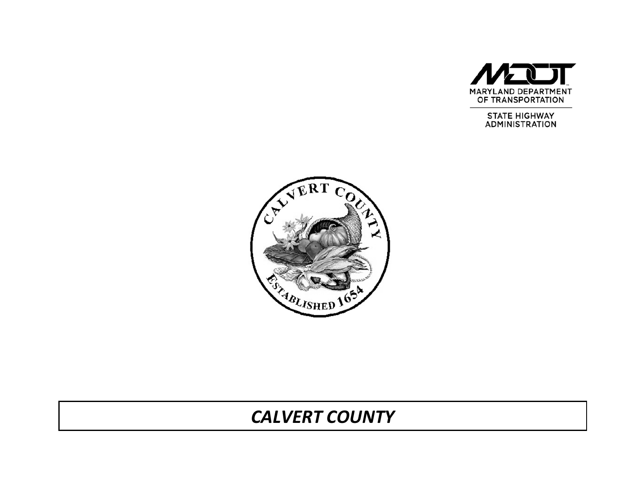

**STATE HIGHWAY ADMINISTRATION** 



# *CALVERT COUNTY*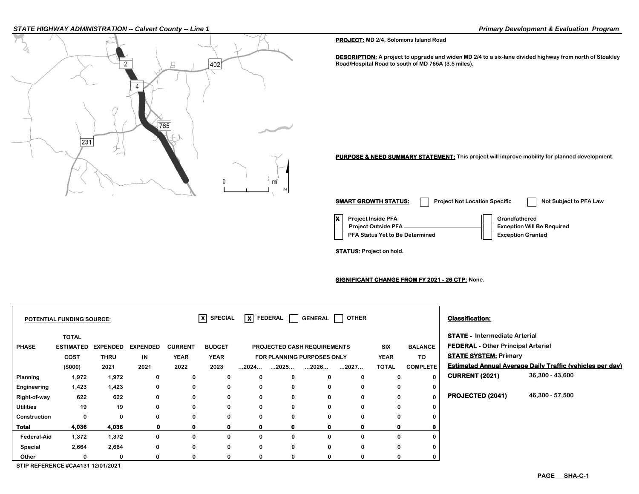#### *STATE HIGHWAY ADMINISTRATION -- Calvert County -- Line 1 Primary Development & Evaluation Program*



**PROJECT: MD 2/4, Solomons Island Road**

**DESCRIPTION: A project to upgrade and widen MD 2/4 to a six-lane divided highway from north of Stoakley Road/Hospital Road to south of MD 765A (3.5 miles).**

**PURPOSE & NEED SUMMARY STATEMENT: This project will improve mobility for planned development.**

**X Project Inside PFA Grandfathered PFA Status Yet to Be Determined | Exception Granted Project Outside PFA Exception Will Be Required SMART GROWTH STATUS:** Project Not Location Specific Not Subject to PFA Law

**STATUS: Project on hold.**

**SIGNIFICANT CHANGE FROM FY 2021 - 26 CTP: None.**

| <b>FEDERAL - Other Principal Arterial</b>                        |  |  |
|------------------------------------------------------------------|--|--|
| <b>STATE SYSTEM: Primary</b>                                     |  |  |
| <b>Estimated Annual Average Daily Traffic (vehicles per day)</b> |  |  |
| 36,300 - 43,600                                                  |  |  |
|                                                                  |  |  |
| 46,300 - 57,500                                                  |  |  |
|                                                                  |  |  |
|                                                                  |  |  |
|                                                                  |  |  |
|                                                                  |  |  |
|                                                                  |  |  |
|                                                                  |  |  |
|                                                                  |  |  |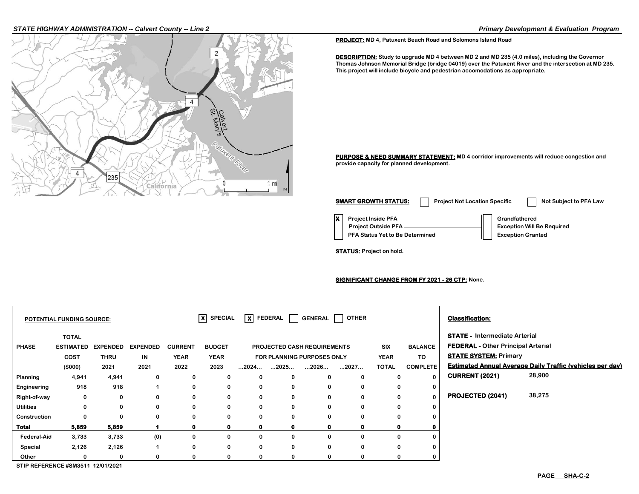#### *STATE HIGHWAY ADMINISTRATION -- Calvert County -- Line 2 Primary Development & Evaluation Program*



**PROJECT: MD 4, Patuxent Beach Road and Solomons Island Road**

**DESCRIPTION: Study to upgrade MD 4 between MD 2 and MD 235 (4.0 miles), including the Governor Thomas Johnson Memorial Bridge (bridge 04019) over the Patuxent River and the intersection at MD 235. This project will include bicycle and pedestrian accomodations as appropriate.**

**PURPOSE & NEED SUMMARY STATEMENT: MD 4 corridor improvements will reduce congestion and provide capacity for planned development.**

**X** Project Inside PFA **Grandfathered PFA Status Yet to Be Determined | Exception Granted Project Outside PFA Exception Will Be Required SMART GROWTH STATUS:** Project Not Location Specific Not Subject to PFA Law

**STATUS: Project on hold.**

**SIGNIFICANT CHANGE FROM FY 2021 - 26 CTP: None.**

|                                   | <b>POTENTIAL FUNDING SOURCE:</b>                |                                |                       |                               | $ X $ SPECIAL                |                      | $\overline{\mathsf{x}}$ FEDERAL $\Box$ |                                                           | GENERAL   OTHER |                           |                      | <b>Classification:</b>                                                                                            |                                                                  |  |
|-----------------------------------|-------------------------------------------------|--------------------------------|-----------------------|-------------------------------|------------------------------|----------------------|----------------------------------------|-----------------------------------------------------------|-----------------|---------------------------|----------------------|-------------------------------------------------------------------------------------------------------------------|------------------------------------------------------------------|--|
| <b>PHASE</b>                      | <b>TOTAL</b><br><b>ESTIMATED</b><br><b>COST</b> | <b>EXPENDED</b><br><b>THRU</b> | <b>EXPENDED</b><br>IN | <b>CURRENT</b><br><b>YEAR</b> | <b>BUDGET</b><br><b>YEAR</b> |                      |                                        | PROJECTED CASH REQUIREMENTS<br>FOR PLANNING PURPOSES ONLY |                 | <b>SIX</b><br><b>YEAR</b> | <b>BALANCE</b><br>TO | <b>STATE - Intermediate Arterial</b><br><b>FEDERAL - Other Principal Arterial</b><br><b>STATE SYSTEM: Primary</b> |                                                                  |  |
|                                   | (\$000)                                         | 2021                           | 2021                  | 2022                          | 2023                         | $\dots$ 2024 $\dots$ | $\dots$ 2025 $\dots$                   | 2026                                                      | 2027            | <b>TOTAL</b>              | <b>COMPLETE</b>      |                                                                                                                   | <b>Estimated Annual Average Daily Traffic (vehicles per day)</b> |  |
| Planning                          | 4,941                                           | 4,941                          | 0                     | 0                             | 0                            | 0                    | 0                                      | 0                                                         | $\Omega$        | 0                         | 0                    | <b>CURRENT (2021)</b>                                                                                             | 28,900                                                           |  |
| Engineering                       | 918                                             | 918                            |                       | 0                             | $\mathbf 0$                  | 0                    | 0                                      | 0                                                         | $\Omega$        | 0                         | 0                    |                                                                                                                   |                                                                  |  |
| Right-of-way                      | 0                                               | 0                              | 0                     | 0                             | 0                            | 0                    | $\mathbf 0$                            | 0                                                         | 0               | 0                         | $\Omega$             | <b>PROJECTED (2041)</b>                                                                                           | 38,275                                                           |  |
| <b>Utilities</b>                  | 0                                               | 0                              | 0                     | 0                             | 0                            | 0                    | 0                                      | 0                                                         | 0               | 0                         | $\Omega$             |                                                                                                                   |                                                                  |  |
| Construction                      | $\Omega$                                        | 0                              | 0                     | 0                             | $\mathbf{0}$                 | 0                    | $\mathbf 0$                            | 0                                                         |                 | 0                         |                      |                                                                                                                   |                                                                  |  |
| Total                             | 5,859                                           | 5,859                          |                       | 0                             | 0                            | 0                    | $\mathbf 0$                            |                                                           |                 | 0                         |                      |                                                                                                                   |                                                                  |  |
| <b>Federal-Aid</b>                | 3,733                                           | 3,733                          | (0)                   | 0                             | $\mathbf{0}$                 | 0                    | 0                                      | $\Omega$                                                  | $\Omega$        | 0                         |                      |                                                                                                                   |                                                                  |  |
| Special                           | 2,126                                           | 2,126                          |                       | 0                             | 0                            | 0                    | 0                                      | $\Omega$                                                  | $\Omega$        | 0                         |                      |                                                                                                                   |                                                                  |  |
| Other                             |                                                 | $\Omega$                       |                       | $\Omega$                      |                              | 0                    | $\mathbf 0$                            | $\Omega$                                                  |                 | 0                         |                      |                                                                                                                   |                                                                  |  |
| STIP REFERENCE #SM3511 12/01/2021 |                                                 |                                |                       |                               |                              |                      |                                        |                                                           |                 |                           |                      |                                                                                                                   |                                                                  |  |